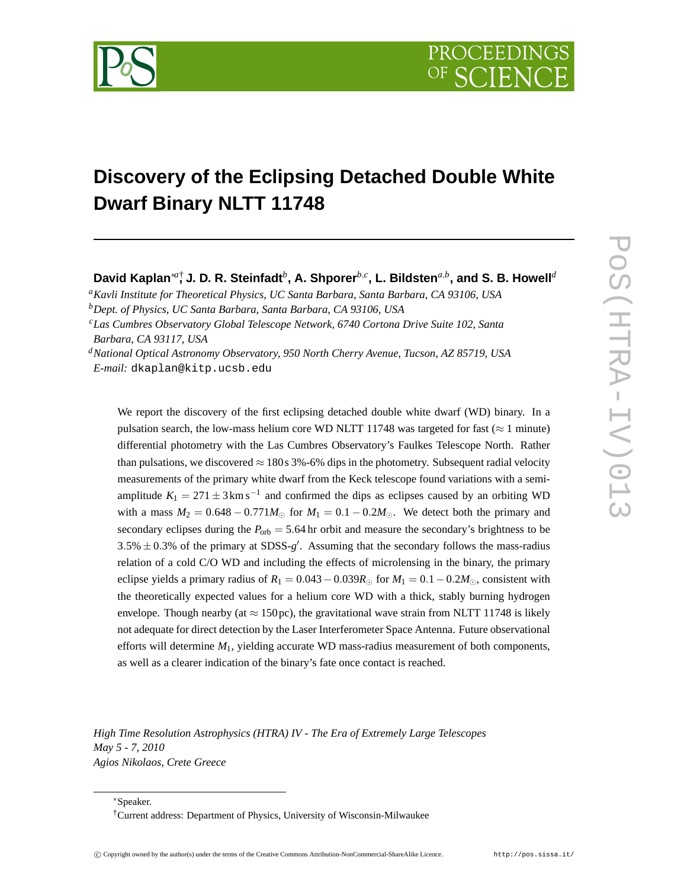

## **Discovery of the Eclipsing Detached Double White Dwarf Binary NLTT 11748**

**David Kaplan**∗*a*† **, J. D. R. Steinfadt***<sup>b</sup>* **, A. Shporer***b*,*<sup>c</sup>* **, L. Bildsten***a*,*<sup>b</sup>* **, and S. B. Howell***<sup>d</sup>*

*<sup>a</sup>Kavli Institute for Theoretical Physics, UC Santa Barbara, Santa Barbara, CA 93106, USA <sup>b</sup>Dept. of Physics, UC Santa Barbara, Santa Barbara, CA 93106, USA*

*<sup>c</sup>Las Cumbres Observatory Global Telescope Network, 6740 Cortona Drive Suite 102, Santa*

*Barbara, CA 93117, USA*

*<sup>d</sup>National Optical Astronomy Observatory, 950 North Cherry Avenue, Tucson, AZ 85719, USA E-mail:* dkaplan@kitp.ucsb.edu

We report the discovery of the first eclipsing detached double white dwarf (WD) binary. In a pulsation search, the low-mass helium core WD NLTT 11748 was targeted for fast ( $\approx$  1 minute) differential photometry with the Las Cumbres Observatory's Faulkes Telescope North. Rather than pulsations, we discovered  $\approx 180$  s 3%-6% dips in the photometry. Subsequent radial velocity measurements of the primary white dwarf from the Keck telescope found variations with a semiamplitude  $K_1 = 271 \pm 3 \text{ km s}^{-1}$  and confirmed the dips as eclipses caused by an orbiting WD with a mass  $M_2 = 0.648 - 0.771M_{\odot}$  for  $M_1 = 0.1 - 0.2M_{\odot}$ . We detect both the primary and secondary eclipses during the  $P_{\text{orb}} = 5.64$  hr orbit and measure the secondary's brightness to be  $3.5\% \pm 0.3\%$  of the primary at SDSS- $g'$ . Assuming that the secondary follows the mass-radius relation of a cold C/O WD and including the effects of microlensing in the binary, the primary eclipse yields a primary radius of  $R_1 = 0.043 - 0.039R_\odot$  for  $M_1 = 0.1 - 0.2M_\odot$ , consistent with the theoretically expected values for a helium core WD with a thick, stably burning hydrogen envelope. Though nearby (at  $\approx 150 \text{ pc}$ ), the gravitational wave strain from NLTT 11748 is likely not adequate for direct detection by the Laser Interferometer Space Antenna. Future observational efforts will determine *M*1, yielding accurate WD mass-radius measurement of both components, as well as a clearer indication of the binary's fate once contact is reached.

*High Time Resolution Astrophysics (HTRA) IV - The Era of Extremely Large Telescopes May 5 - 7, 2010 Agios Nikolaos, Crete Greece*

<sup>∗</sup>Speaker.

<sup>†</sup>Current address: Department of Physics, University of Wisconsin-Milwaukee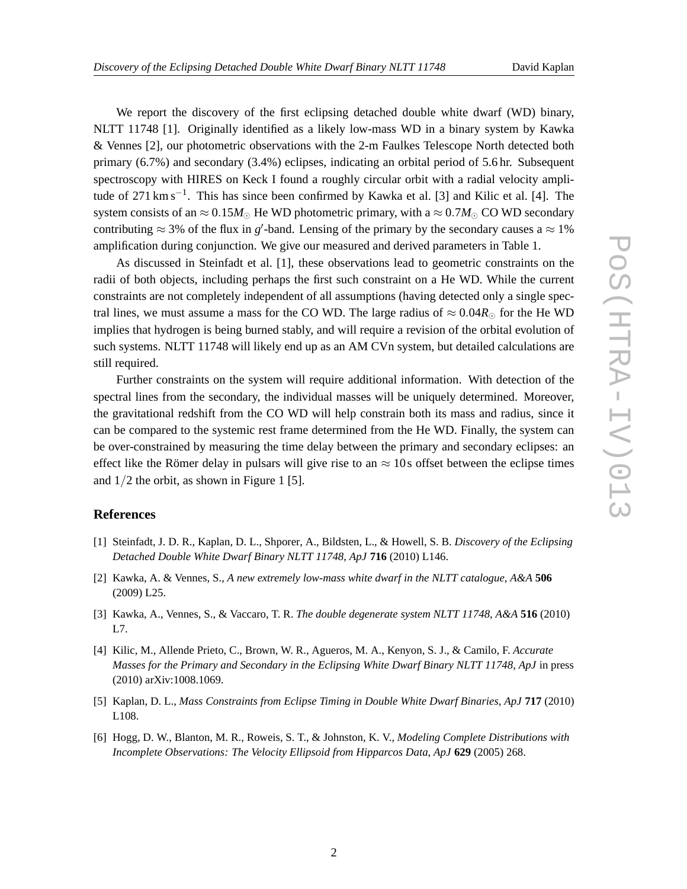We report the discovery of the first eclipsing detached double white dwarf (WD) binary, NLTT 11748 [1]. Originally identified as a likely low-mass WD in a binary system by Kawka & Vennes [2], our photometric observations with the 2-m Faulkes Telescope North detected both primary (6.7%) and secondary (3.4%) eclipses, indicating an orbital period of 5.6 hr. Subsequent spectroscopy with HIRES on Keck I found a roughly circular orbit with a radial velocity amplitude of 271 km s−<sup>1</sup> . This has since been confirmed by Kawka et al. [3] and Kilic et al. [4]. The system consists of an  $\approx 0.15M_{\odot}$  He WD photometric primary, with a  $\approx 0.7M_{\odot}$  CO WD secondary contributing  $\approx$  3% of the flux in *g*'-band. Lensing of the primary by the secondary causes a  $\approx$  1% amplification during conjunction. We give our measured and derived parameters in Table 1.

As discussed in Steinfadt et al. [1], these observations lead to geometric constraints on the radii of both objects, including perhaps the first such constraint on a He WD. While the current constraints are not completely independent of all assumptions (having detected only a single spectral lines, we must assume a mass for the CO WD. The large radius of  $\approx 0.04R_{\odot}$  for the He WD implies that hydrogen is being burned stably, and will require a revision of the orbital evolution of such systems. NLTT 11748 will likely end up as an AM CVn system, but detailed calculations are still required.

Further constraints on the system will require additional information. With detection of the spectral lines from the secondary, the individual masses will be uniquely determined. Moreover, the gravitational redshift from the CO WD will help constrain both its mass and radius, since it can be compared to the systemic rest frame determined from the He WD. Finally, the system can be over-constrained by measuring the time delay between the primary and secondary eclipses: an effect like the Römer delay in pulsars will give rise to an  $\approx$  10s offset between the eclipse times and  $1/2$  the orbit, as shown in Figure 1 [5].

## **References**

- [1] Steinfadt, J. D. R., Kaplan, D. L., Shporer, A., Bildsten, L., & Howell, S. B. *Discovery of the Eclipsing Detached Double White Dwarf Binary NLTT 11748*, *ApJ* **716** (2010) L146.
- [2] Kawka, A. & Vennes, S., *A new extremely low-mass white dwarf in the NLTT catalogue*, *A&A* **506** (2009) L25.
- [3] Kawka, A., Vennes, S., & Vaccaro, T. R. *The double degenerate system NLTT 11748*, *A&A* **516** (2010) L7.
- [4] Kilic, M., Allende Prieto, C., Brown, W. R., Agueros, M. A., Kenyon, S. J., & Camilo, F. *Accurate Masses for the Primary and Secondary in the Eclipsing White Dwarf Binary NLTT 11748*, *ApJ* in press (2010) arXiv:1008.1069.
- [5] Kaplan, D. L., *Mass Constraints from Eclipse Timing in Double White Dwarf Binaries*, *ApJ* **717** (2010) L108.
- [6] Hogg, D. W., Blanton, M. R., Roweis, S. T., & Johnston, K. V., *Modeling Complete Distributions with Incomplete Observations: The Velocity Ellipsoid from Hipparcos Data*, *ApJ* **629** (2005) 268.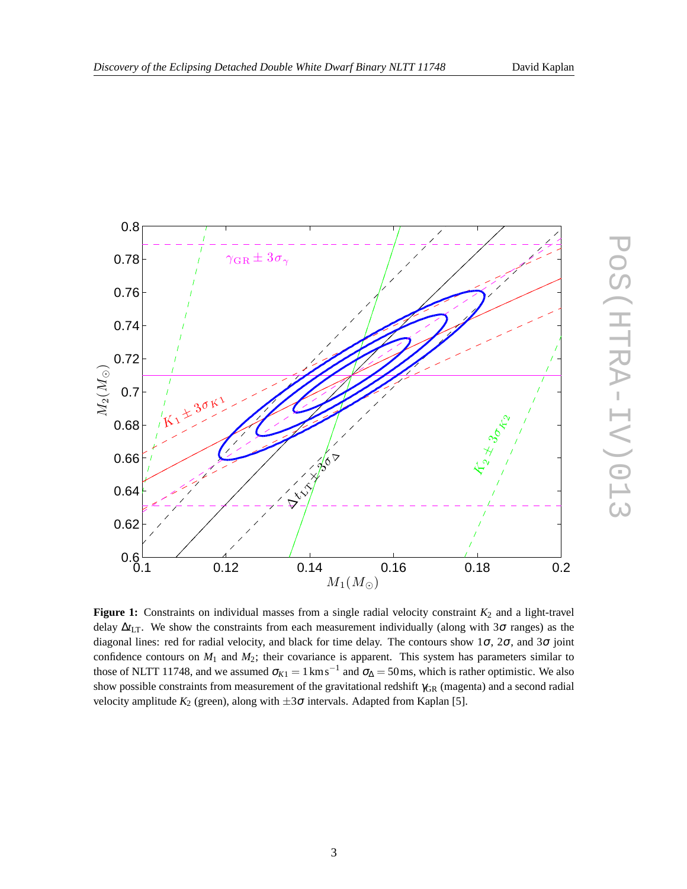

**Figure 1:** Constraints on individual masses from a single radial velocity constraint  $K_2$  and a light-travel delay  $\Delta t_{\text{LT}}$ . We show the constraints from each measurement individually (along with 3 $\sigma$  ranges) as the diagonal lines: red for radial velocity, and black for time delay. The contours show  $1\sigma$ ,  $2\sigma$ , and  $3\sigma$  joint confidence contours on *M*<sup>1</sup> and *M*2; their covariance is apparent. This system has parameters similar to those of NLTT 11748, and we assumed  $\sigma_{K1} = 1 \text{ km s}^{-1}$  and  $\sigma_{\Delta} = 50 \text{ ms}$ , which is rather optimistic. We also show possible constraints from measurement of the gravitational redshift  $γ<sub>GR</sub>$  (magenta) and a second radial velocity amplitude  $K_2$  (green), along with  $\pm 3\sigma$  intervals. Adapted from Kaplan [5].